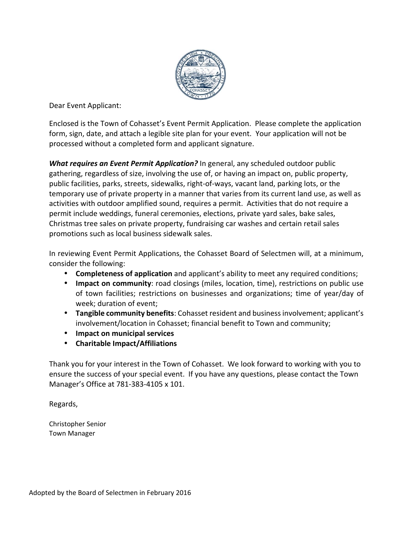

Dear Event Applicant:

Enclosed is the Town of Cohasset's Event Permit Application. Please complete the application form, sign, date, and attach a legible site plan for your event. Your application will not be processed without a completed form and applicant signature.

*What requires an Event Permit Application?* In general, any scheduled outdoor public gathering, regardless of size, involving the use of, or having an impact on, public property, public facilities, parks, streets, sidewalks, right‐of‐ways, vacant land, parking lots, or the temporary use of private property in a manner that varies from its current land use, as well as activities with outdoor amplified sound, requires a permit. Activities that do not require a permit include weddings, funeral ceremonies, elections, private yard sales, bake sales, Christmas tree sales on private property, fundraising car washes and certain retail sales promotions such as local business sidewalk sales.

In reviewing Event Permit Applications, the Cohasset Board of Selectmen will, at a minimum, consider the following:

- **Completeness of application** and applicant's ability to meet any required conditions;
- **Impact on community**: road closings (miles, location, time), restrictions on public use of town facilities; restrictions on businesses and organizations; time of year/day of week; duration of event;
- **Tangible community benefits**: Cohasset resident and businessinvolvement; applicant's involvement/location in Cohasset; financial benefit to Town and community;
- **Impact on municipal services**
- **Charitable Impact/Affiliations**

Thank you for your interest in the Town of Cohasset. We look forward to working with you to ensure the success of your special event. If you have any questions, please contact the Town Manager's Office at 781‐383‐4105 x 101.

Regards,

Christopher Senior Town Manager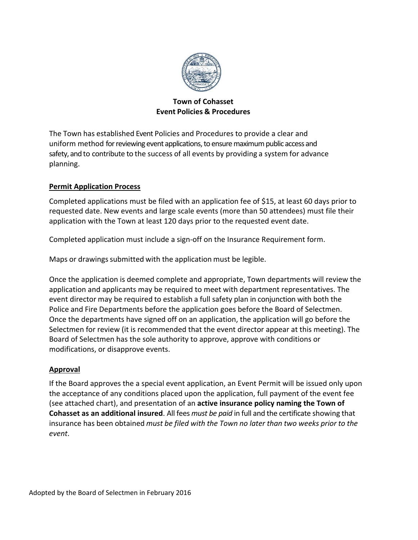

#### **Town of Cohasset Event Policies & Procedures**

The Town has established Event Policies and Procedures to provide a clear and uniform method for reviewing event applications, to ensure maximum public access and safety, and to contribute to the success of all events by providing a system for advance planning.

#### **Permit Application Process**

Completed applications must be filed with an application fee of \$15, at least 60 days prior to requested date. New events and large scale events (more than 50 attendees) must file their application with the Town at least 120 days prior to the requested event date.

Completed application must include a sign‐off on the Insurance Requirement form.

Maps or drawings submitted with the application must be legible.

Once the application is deemed complete and appropriate, Town departments will review the application and applicants may be required to meet with department representatives. The event director may be required to establish a full safety plan in conjunction with both the Police and Fire Departments before the application goes before the Board of Selectmen. Once the departments have signed off on an application, the application will go before the Selectmen for review (it is recommended that the event director appear at this meeting). The Board of Selectmen has the sole authority to approve, approve with conditions or modifications, or disapprove events.

#### **Approval**

If the Board approves the a special event application, an Event Permit will be issued only upon the acceptance of any conditions placed upon the application, full payment of the event fee (see attached chart), and presentation of an **active insurance policy naming the Town of Cohasset as an additional insured**. All fees *must be paid* in full and the certificate showing that insurance has been obtained *must be filed with the Town no later than two weeks prior to the event*.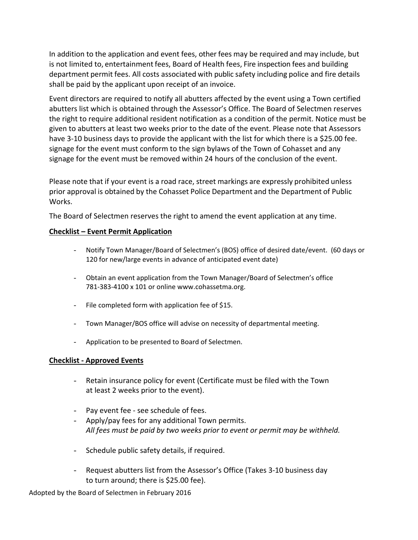In addition to the application and event fees, other fees may be required and may include, but is not limited to, entertainment fees, Board of Health fees, Fire inspection fees and building department permit fees. All costs associated with public safety including police and fire details shall be paid by the applicant upon receipt of an invoice.

Event directors are required to notify all abutters affected by the event using a Town certified abutters list which is obtained through the Assessor's Office. The Board of Selectmen reserves the right to require additional resident notification as a condition of the permit. Notice must be given to abutters at least two weeks prior to the date of the event. Please note that Assessors have 3-10 business days to provide the applicant with the list for which there is a \$25.00 fee. signage for the event must conform to the sign bylaws of the Town of Cohasset and any signage for the event must be removed within 24 hours of the conclusion of the event.

Please note that if your event is a road race, street markings are expressly prohibited unless prior approval is obtained by the Cohasset Police Department and the Department of Public Works.

The Board of Selectmen reserves the right to amend the event application at any time.

#### **Checklist – Event Permit Application**

- Notify Town Manager/Board of Selectmen's (BOS) office of desired date/event. (60 days or 120 for new/large events in advance of anticipated event date)
- Obtain an event application from the Town Manager/Board of Selectmen's office 781‐383‐4100 x 101 or online www.cohassetma.org.
- File completed form with application fee of \$15.
- Town Manager/BOS office will advise on necessity of departmental meeting.
- Application to be presented to Board of Selectmen.

#### **Checklist ‐ Approved Events**

- Retain insurance policy for event (Certificate must be filed with the Town at least 2 weeks prior to the event).
- Pay event fee ‐ see schedule of fees.
- Apply/pay fees for any additional Town permits. *All fees must be paid by two weeks prior to event or permit may be withheld.*
- Schedule public safety details, if required.
- Request abutters list from the Assessor's Office (Takes 3-10 business day to turn around; there is \$25.00 fee).

Adopted by the Board of Selectmen in February 2016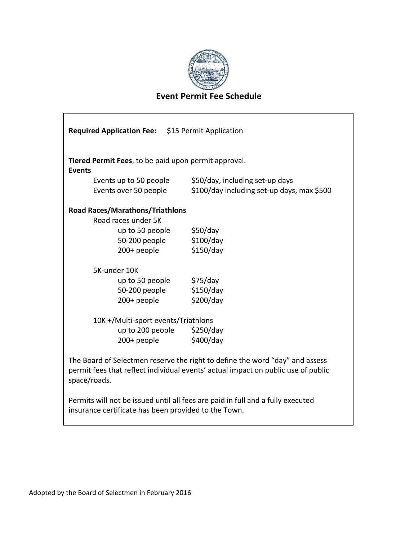

## **Event Permit Fee Schedule**

| <b>Required Application Fee:</b> \$15 Permit Application                                                                                                                          |                                            |  |  |  |  |
|-----------------------------------------------------------------------------------------------------------------------------------------------------------------------------------|--------------------------------------------|--|--|--|--|
| Tiered Permit Fees, to be paid upon permit approval.<br><b>Events</b>                                                                                                             |                                            |  |  |  |  |
| Events up to 50 people                                                                                                                                                            | \$50/day, including set-up days            |  |  |  |  |
| Events over 50 people                                                                                                                                                             | \$100/day including set-up days, max \$500 |  |  |  |  |
| <b>Road Races/Marathons/Triathlons</b>                                                                                                                                            |                                            |  |  |  |  |
| Road races under 5K                                                                                                                                                               |                                            |  |  |  |  |
| up to 50 people                                                                                                                                                                   | \$50/day                                   |  |  |  |  |
| 50-200 people                                                                                                                                                                     | \$100/day                                  |  |  |  |  |
| 200+ people                                                                                                                                                                       | \$150/day                                  |  |  |  |  |
| 5K-under 10K                                                                                                                                                                      |                                            |  |  |  |  |
| up to 50 people                                                                                                                                                                   | \$75/day                                   |  |  |  |  |
| 50-200 people                                                                                                                                                                     | \$150/day                                  |  |  |  |  |
| $200+$ people                                                                                                                                                                     | \$200/day                                  |  |  |  |  |
| 10K +/Multi-sport events/Triathlons                                                                                                                                               |                                            |  |  |  |  |
| up to 200 people $\frac{1}{2}$ \$250/day                                                                                                                                          |                                            |  |  |  |  |
| 200+ people                                                                                                                                                                       | \$400/day                                  |  |  |  |  |
| The Board of Selectmen reserve the right to define the word "day" and assess<br>permit fees that reflect individual events' actual impact on public use of public<br>space/roads. |                                            |  |  |  |  |
| Permits will not be issued until all fees are paid in full and a fully executed<br>insurance certificate has been provided to the Town.                                           |                                            |  |  |  |  |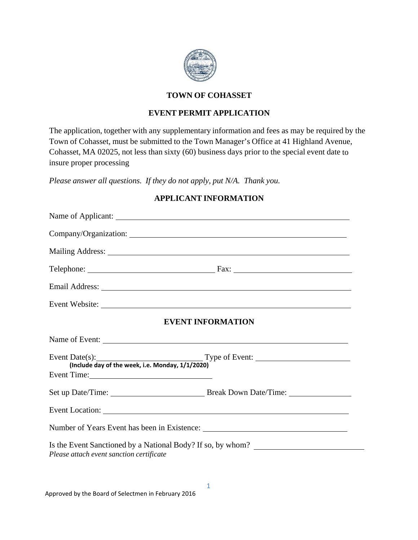

### **TOWN OF COHASSET**

#### **EVENT PERMIT APPLICATION**

The application, together with any supplementary information and fees as may be required by the Town of Cohasset, must be submitted to the Town Manager's Office at 41 Highland Avenue, Cohasset, MA 02025, not less than sixty (60) business days prior to the special event date to insure proper processing

*Please answer all questions. If they do not apply, put N/A. Thank you.*

#### **APPLICANT INFORMATION**

| <b>EVENT INFORMATION</b>                                                                                                                                                                                                       |  |  |  |  |
|--------------------------------------------------------------------------------------------------------------------------------------------------------------------------------------------------------------------------------|--|--|--|--|
| Name of Event:                                                                                                                                                                                                                 |  |  |  |  |
| Event Date(s): Type of Event:<br>(Include day of the week, i.e. Monday, 1/1/2020)                                                                                                                                              |  |  |  |  |
|                                                                                                                                                                                                                                |  |  |  |  |
| Event Location: New York Contract Contract Contract Contract Contract Contract Contract Contract Contract Contract Contract Contract Contract Contract Contract Contract Contract Contract Contract Contract Contract Contract |  |  |  |  |
|                                                                                                                                                                                                                                |  |  |  |  |
| Is the Event Sanctioned by a National Body? If so, by whom?<br>Please attach event sanction certificate                                                                                                                        |  |  |  |  |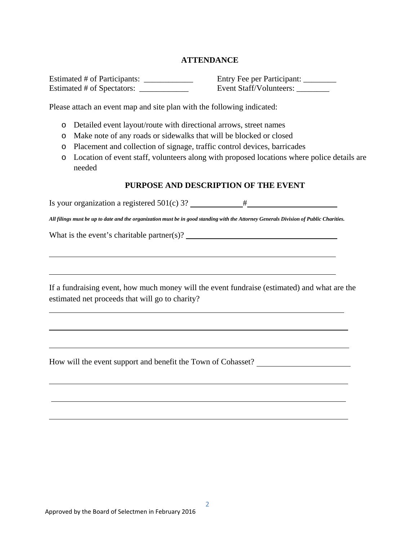#### **ATTENDANCE**

Estimated # of Participants: \_\_\_\_\_\_\_\_\_\_\_\_\_\_\_\_\_ Entry Fee per Participant: \_\_\_\_\_\_ Estimated # of Spectators: \_\_\_\_\_\_\_\_\_\_\_\_\_\_\_\_ Event Staff/Volunteers: \_\_\_\_\_\_\_\_\_\_\_

Please attach an event map and site plan with the following indicated:

- o Detailed event layout/route with directional arrows, street names
- o Make note of any roads or sidewalks that will be blocked or closed
- o Placement and collection of signage, traffic control devices, barricades
- o Location of event staff, volunteers along with proposed locations where police details are needed

#### **PURPOSE AND DESCRIPTION OF THE EVENT**

Is your organization a registered  $501(c)$  3?  $\qquad$   $\qquad$   $\qquad$   $\qquad$   $\qquad$   $\qquad$   $\qquad$   $\qquad$   $\qquad$   $\qquad$   $\qquad$   $\qquad$   $\qquad$   $\qquad$   $\qquad$   $\qquad$   $\qquad$   $\qquad$   $\qquad$   $\qquad$   $\qquad$   $\qquad$   $\qquad$   $\qquad$   $\qquad$   $\qquad$   $\qquad$   $\qquad$   $\qquad$   $\$ 

*All filings must be up to date and the organization must be in good standing with the Attorney Generals Division of Public Charities.*

What is the event's charitable partner(s)?  $\qquad \qquad$ 

If a fundraising event, how much money will the event fundraise (estimated) and what are the estimated net proceeds that will go to charity?

How will the event support and benefit the Town of Cohasset?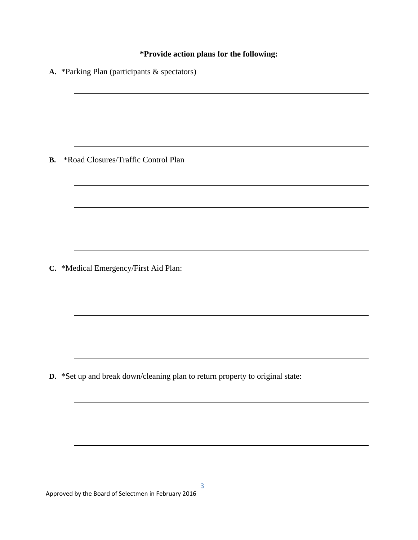## **\*Provide action plans for the following:**

|           | A. *Parking Plan (participants & spectators)                                  |
|-----------|-------------------------------------------------------------------------------|
|           |                                                                               |
|           |                                                                               |
| <b>B.</b> | *Road Closures/Traffic Control Plan                                           |
|           |                                                                               |
|           |                                                                               |
|           |                                                                               |
|           | C. *Medical Emergency/First Aid Plan:                                         |
|           |                                                                               |
|           |                                                                               |
|           |                                                                               |
|           | D. *Set up and break down/cleaning plan to return property to original state: |
|           |                                                                               |
|           |                                                                               |
|           |                                                                               |
|           |                                                                               |

Approved by the Board of Selectmen in February 2016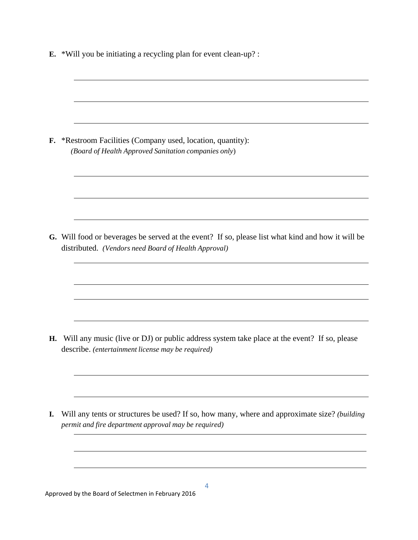**E.** \*Will you be initiating a recycling plan for event clean-up? :

**F.** \*Restroom Facilities (Company used, location, quantity): *(Board of Health Approved Sanitation companies only*)

**G.** Will food or beverages be served at the event? If so, please list what kind and how it will be distributed. *(Vendors need Board of Health Approval)*

**H.** Will any music (live or DJ) or public address system take place at the event? If so, please describe. *(entertainment license may be required)*

**I.** Will any tents or structures be used? If so, how many, where and approximate size? *(building permit and fire department approval may be required)*

Approved by the Board of Selectmen in February 2016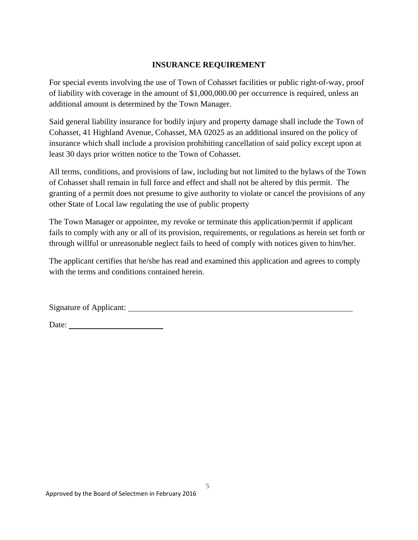#### **INSURANCE REQUIREMENT**

For special events involving the use of Town of Cohasset facilities or public right-of-way, proof of liability with coverage in the amount of \$1,000,000.00 per occurrence is required, unless an additional amount is determined by the Town Manager.

Said general liability insurance for bodily injury and property damage shall include the Town of Cohasset, 41 Highland Avenue, Cohasset, MA 02025 as an additional insured on the policy of insurance which shall include a provision prohibiting cancellation of said policy except upon at least 30 days prior written notice to the Town of Cohasset.

All terms, conditions, and provisions of law, including but not limited to the bylaws of the Town of Cohasset shall remain in full force and effect and shall not be altered by this permit. The granting of a permit does not presume to give authority to violate or cancel the provisions of any other State of Local law regulating the use of public property

The Town Manager or appointee, my revoke or terminate this application/permit if applicant fails to comply with any or all of its provision, requirements, or regulations as herein set forth or through willful or unreasonable neglect fails to heed of comply with notices given to him/her.

The applicant certifies that he/she has read and examined this application and agrees to comply with the terms and conditions contained herein.

Signature of Applicant:

Date: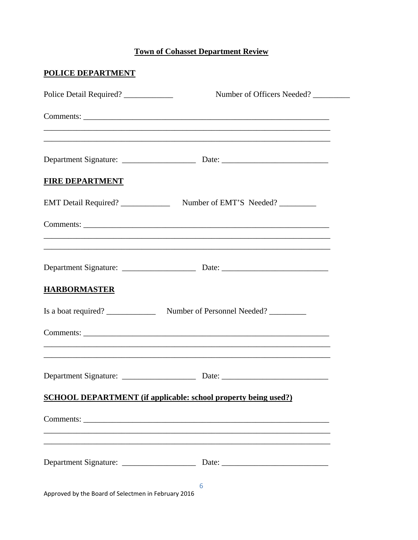# **Town of Cohasset Department Review**

| Police Detail Required?                             | Number of Officers Needed?                                                        |
|-----------------------------------------------------|-----------------------------------------------------------------------------------|
|                                                     |                                                                                   |
|                                                     | ,我们也不能在这里的人,我们也不能在这里的人,我们也不能在这里的人,我们也不能在这里的人,我们也不能在这里的人,我们也不能在这里的人,我们也不能在这里的人,我们也 |
| <b>FIRE DEPARTMENT</b>                              |                                                                                   |
| EMT Detail Required?                                | Number of EMT'S Needed?                                                           |
|                                                     |                                                                                   |
|                                                     |                                                                                   |
| <b>HARBORMASTER</b>                                 |                                                                                   |
| Is a boat required?                                 | Number of Personnel Needed?                                                       |
|                                                     |                                                                                   |
| Department Signature:                               | Date:                                                                             |
|                                                     | <b>SCHOOL DEPARTMENT</b> (if applicable: school property being used?)             |
|                                                     | ,我们也不能在这里的人,我们也不能在这里的人,我们也不能在这里的人,我们也不能在这里的人,我们也不能在这里的人,我们也不能在这里的人,我们也不能在这里的人,我们也 |
|                                                     | ,我们也不能在这里的时候,我们也不能在这里的时候,我们也不能在这里的时候,我们也不能会在这里的时候,我们也不能会在这里的时候,我们也不能会在这里的时候,我们也不  |
| Approved by the Board of Selectmen in February 2016 | 6                                                                                 |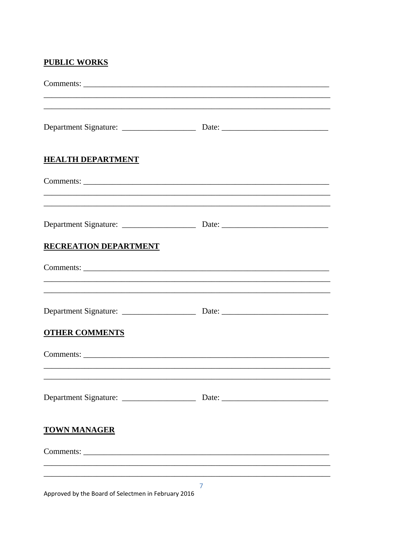## **PUBLIC WORKS**

|                              | ,我们也不能在这里的时候,我们也不能在这里的时候,我们也不能在这里的时候,我们也不能会在这里的时候,我们也不能会在这里的时候,我们也不能会在这里的时候,我们也不                                      |  |
|------------------------------|-----------------------------------------------------------------------------------------------------------------------|--|
| <b>HEALTH DEPARTMENT</b>     |                                                                                                                       |  |
|                              |                                                                                                                       |  |
|                              | <u> 1989 - John Stoff, deutscher Stoff, der Stoff, deutscher Stoff, der Stoff, der Stoff, der Stoff, der Stoff, d</u> |  |
| <b>RECREATION DEPARTMENT</b> |                                                                                                                       |  |
|                              |                                                                                                                       |  |
|                              |                                                                                                                       |  |
|                              |                                                                                                                       |  |
| <b>OTHER COMMENTS</b>        |                                                                                                                       |  |
|                              |                                                                                                                       |  |
|                              |                                                                                                                       |  |
|                              |                                                                                                                       |  |
| <b>TOWN MANAGER</b>          |                                                                                                                       |  |
|                              |                                                                                                                       |  |
|                              |                                                                                                                       |  |
|                              | $\overline{ }$                                                                                                        |  |

Approved by the Board of Selectmen in February 2016